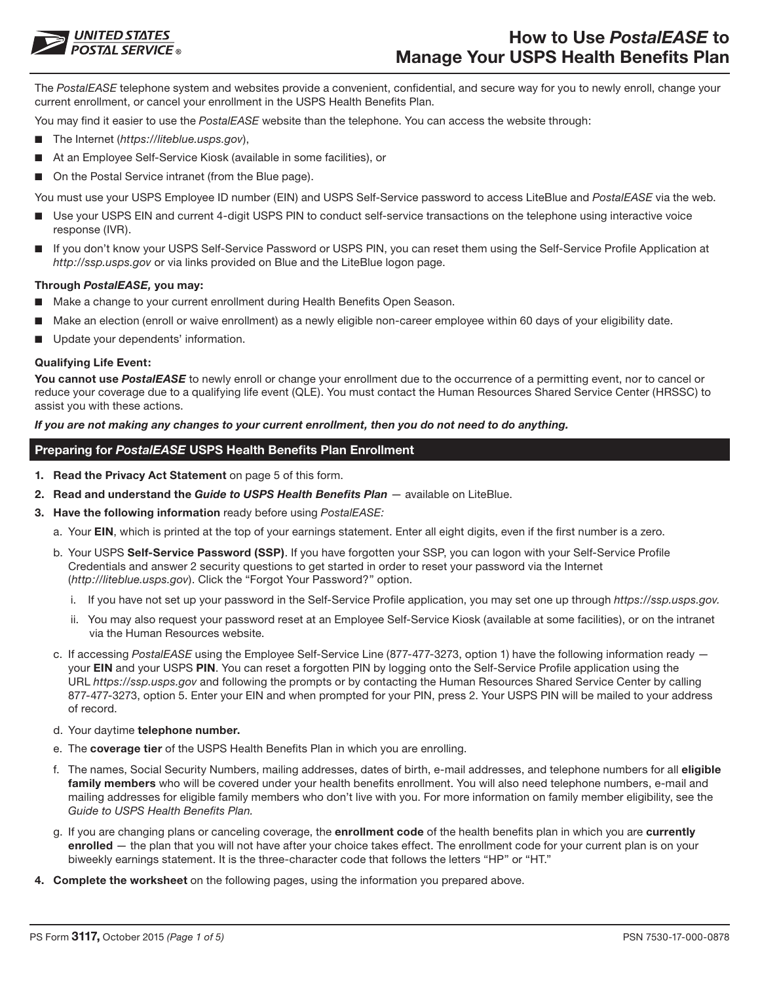

The *PostalEASE* telephone system and websites provide a convenient, confidential, and secure way for you to newly enroll, change your current enrollment, or cancel your enrollment in the USPS Health Benefits Plan.

You may find it easier to use the *PostalEASE* website than the telephone. You can access the website through:

- The Internet (*https://liteblue.usps.gov*),
- At an Employee Self-Service Kiosk (available in some facilities), or
- On the Postal Service intranet (from the Blue page).

You must use your USPS Employee ID number (EIN) and USPS Self-Service password to access LiteBlue and *PostalEASE* via the web.

- Use your USPS EIN and current 4-digit USPS PIN to conduct self-service transactions on the telephone using interactive voice response (IVR).
- If you don't know your USPS Self-Service Password or USPS PIN, you can reset them using the Self-Service Profile Application at *http://ssp.usps.gov* or via links provided on Blue and the LiteBlue logon page.

#### **Through** *PostalEASE,* **you may:**

- Make a change to your current enrollment during Health Benefits Open Season.
- Make an election (enroll or waive enrollment) as a newly eligible non-career employee within 60 days of your eligibility date.
- Update your dependents' information.

#### **Qualifying Life Event:**

You cannot use PostalEASE to newly enroll or change your enrollment due to the occurrence of a permitting event, nor to cancel or reduce your coverage due to a qualifying life event (QLE). You must contact the Human Resources Shared Service Center (HRSSC) to assist you with these actions.

#### *If you are not making any changes to your current enrollment, then you do not need to do anything.*

### **Preparing for** *PostalEASE* **USPS Health Benefits Plan Enrollment**

- **1. Read the Privacy Act Statement** on page 5 of this form.
- **2. Read and understand the** *Guide to USPS Health Benefits Plan* available on LiteBlue.
- **3. Have the following information** ready before using *PostalEASE:*
	- a. Your **EIN**, which is printed at the top of your earnings statement. Enter all eight digits, even if the first number is a zero.
	- b. Your USPS **Self-Service Password (SSP)**. If you have forgotten your SSP, you can logon with your Self-Service Profile Credentials and answer 2 security questions to get started in order to reset your password via the Internet (*http://liteblue.usps.gov*). Click the "Forgot Your Password?" option.
		- i. If you have not set up your password in the Self-Service Profile application, you may set one up through *https://ssp.usps.gov.*
		- ii. You may also request your password reset at an Employee Self-Service Kiosk (available at some facilities), or on the intranet via the Human Resources website.
	- c. If accessing *PostalEASE* using the Employee Self-Service Line (877-477-3273, option 1) have the following information ready your **EIN** and your USPS **PIN**. You can reset a forgotten PIN by logging onto the Self-Service Profile application using the URL *https://ssp.usps.gov* and following the prompts or by contacting the Human Resources Shared Service Center by calling 877-477-3273, option 5. Enter your EIN and when prompted for your PIN, press 2. Your USPS PIN will be mailed to your address of record.
	- d. Your daytime **telephone number.**
	- e. The **coverage tier** of the USPS Health Benefits Plan in which you are enrolling.
	- f. The names, Social Security Numbers, mailing addresses, dates of birth, e-mail addresses, and telephone numbers for all **eligible family members** who will be covered under your health benefits enrollment. You will also need telephone numbers, e-mail and mailing addresses for eligible family members who don't live with you. For more information on family member eligibility, see the *Guide to USPS Health Benefits Plan.*
	- g. If you are changing plans or canceling coverage, the **enrollment code** of the health benefits plan in which you are **currently enrolled** — the plan that you will not have after your choice takes effect. The enrollment code for your current plan is on your biweekly earnings statement. It is the three-character code that follows the letters "HP" or "HT."
- **4. Complete the worksheet** on the following pages, using the information you prepared above.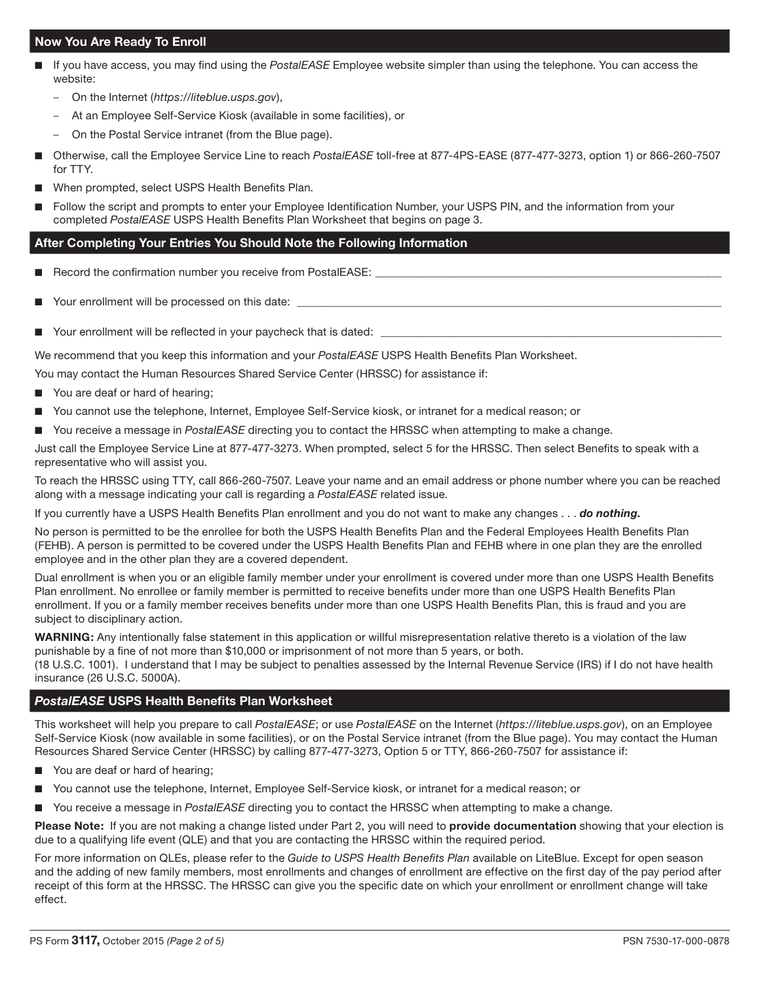# **Now You Are Ready To Enroll**

- If you have access, you may find using the *PostalEASE* Employee website simpler than using the telephone. You can access the website:
	- On the Internet (*https://liteblue.usps.gov*),
	- At an Employee Self-Service Kiosk (available in some facilities), or
	- On the Postal Service intranet (from the Blue page).
- Otherwise, call the Employee Service Line to reach *PostalEASE* toll-free at 877-4PS-EASE (877-477-3273, option 1) or 866-260-7507 for TTY.
- When prompted, select USPS Health Benefits Plan.
- Follow the script and prompts to enter your Employee Identification Number, your USPS PIN, and the information from your completed *PostalEASE* USPS Health Benefits Plan Worksheet that begins on page 3.

## **After Completing Your Entries You Should Note the Following Information**

- Record the confirmation number you receive from PostalEASE:
- Your enrollment will be processed on this date:
- Your enrollment will be reflected in your paycheck that is dated:

We recommend that you keep this information and your *PostalEASE* USPS Health Benefits Plan Worksheet.

You may contact the Human Resources Shared Service Center (HRSSC) for assistance if:

- You are deaf or hard of hearing;
- You cannot use the telephone, Internet, Employee Self-Service kiosk, or intranet for a medical reason; or
- You receive a message in PostalEASE directing you to contact the HRSSC when attempting to make a change.

Just call the Employee Service Line at 877-477-3273. When prompted, select 5 for the HRSSC. Then select Benefits to speak with a representative who will assist you.

To reach the HRSSC using TTY, call 866-260-7507. Leave your name and an email address or phone number where you can be reached along with a message indicating your call is regarding a *PostalEASE* related issue.

If you currently have a USPS Health Benefits Plan enrollment and you do not want to make any changes . . . *do nothing.*

No person is permitted to be the enrollee for both the USPS Health Benefits Plan and the Federal Employees Health Benefits Plan (FEHB). A person is permitted to be covered under the USPS Health Benefits Plan and FEHB where in one plan they are the enrolled employee and in the other plan they are a covered dependent.

Dual enrollment is when you or an eligible family member under your enrollment is covered under more than one USPS Health Benefits Plan enrollment. No enrollee or family member is permitted to receive benefits under more than one USPS Health Benefits Plan enrollment. If you or a family member receives benefits under more than one USPS Health Benefits Plan, this is fraud and you are subject to disciplinary action.

**WARNING:** Any intentionally false statement in this application or willful misrepresentation relative thereto is a violation of the law punishable by a fine of not more than \$10,000 or imprisonment of not more than 5 years, or both. (18 U.S.C. 1001). I understand that I may be subject to penalties assessed by the Internal Revenue Service (IRS) if I do not have health insurance (26 U.S.C. 5000A).

## *PostalEASE* **USPS Health Benefits Plan Worksheet**

This worksheet will help you prepare to call *PostalEASE*; or use *PostalEASE* on the Internet (*https://liteblue.usps.gov*), on an Employee Self-Service Kiosk (now available in some facilities), or on the Postal Service intranet (from the Blue page). You may contact the Human Resources Shared Service Center (HRSSC) by calling 877-477-3273, Option 5 or TTY, 866-260-7507 for assistance if:

- You are deaf or hard of hearing;
- You cannot use the telephone, Internet, Employee Self-Service kiosk, or intranet for a medical reason; or
- You receive a message in *PostalEASE* directing you to contact the HRSSC when attempting to make a change.

**Please Note:** If you are not making a change listed under Part 2, you will need to **provide documentation** showing that your election is due to a qualifying life event (QLE) and that you are contacting the HRSSC within the required period.

For more information on QLEs, please refer to the *Guide to USPS Health Benefits Plan* available on LiteBlue. Except for open season and the adding of new family members, most enrollments and changes of enrollment are effective on the first day of the pay period after receipt of this form at the HRSSC. The HRSSC can give you the specific date on which your enrollment or enrollment change will take effect.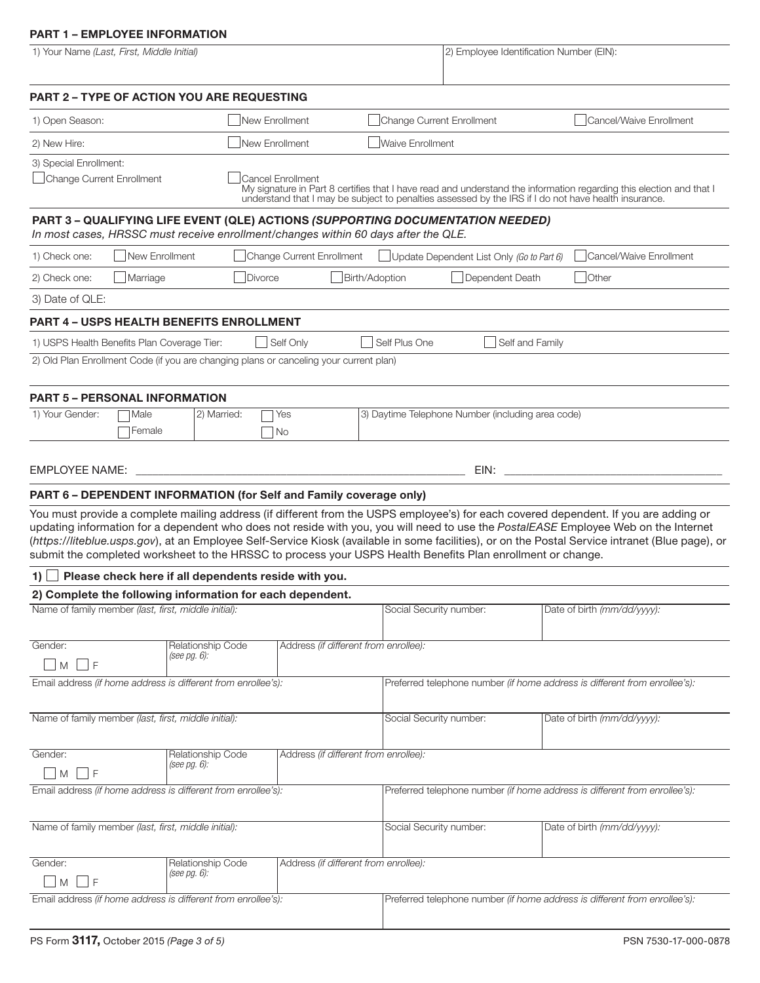# **PART 1 – EMPLOYEE INFORMATION**

| 1) Your Name (Last, First, Middle Initial)                                                                                                                                                                                                                                                                                                                                                                                                                                                                                                     |                                                      |                                       |                           | 2) Employee Identification Number (EIN):                                   |                             |                                                                                                                                                                                                                          |
|------------------------------------------------------------------------------------------------------------------------------------------------------------------------------------------------------------------------------------------------------------------------------------------------------------------------------------------------------------------------------------------------------------------------------------------------------------------------------------------------------------------------------------------------|------------------------------------------------------|---------------------------------------|---------------------------|----------------------------------------------------------------------------|-----------------------------|--------------------------------------------------------------------------------------------------------------------------------------------------------------------------------------------------------------------------|
| <b>PART 2 - TYPE OF ACTION YOU ARE REQUESTING</b>                                                                                                                                                                                                                                                                                                                                                                                                                                                                                              |                                                      |                                       |                           |                                                                            |                             |                                                                                                                                                                                                                          |
| 1) Open Season:                                                                                                                                                                                                                                                                                                                                                                                                                                                                                                                                | New Enrollment                                       |                                       | Change Current Enrollment |                                                                            |                             | Cancel/Waive Enrollment                                                                                                                                                                                                  |
| 2) New Hire:                                                                                                                                                                                                                                                                                                                                                                                                                                                                                                                                   | New Enrollment                                       |                                       | <b>Waive Enrollment</b>   |                                                                            |                             |                                                                                                                                                                                                                          |
| 3) Special Enrollment:<br>Change Current Enrollment                                                                                                                                                                                                                                                                                                                                                                                                                                                                                            |                                                      | <b>Cancel Enrollment</b>              |                           |                                                                            |                             | My signature in Part 8 certifies that I have read and understand the information regarding this election and that I understand that I may be subject to penalties assessed by the IRS if I do not have health insurance. |
| PART 3 - QUALIFYING LIFE EVENT (QLE) ACTIONS (SUPPORTING DOCUMENTATION NEEDED)<br>In most cases, HRSSC must receive enrollment/changes within 60 days after the QLE.                                                                                                                                                                                                                                                                                                                                                                           |                                                      |                                       |                           |                                                                            |                             |                                                                                                                                                                                                                          |
| New Enrollment<br>1) Check one:                                                                                                                                                                                                                                                                                                                                                                                                                                                                                                                |                                                      | Change Current Enrollment             |                           | Update Dependent List Only (Go to Part 6)                                  |                             | Cancel/Waive Enrollment                                                                                                                                                                                                  |
| Marriage<br>2) Check one:                                                                                                                                                                                                                                                                                                                                                                                                                                                                                                                      | Divorce                                              |                                       | Birth/Adoption            | Dependent Death                                                            | <b>Other</b>                |                                                                                                                                                                                                                          |
| 3) Date of QLE:                                                                                                                                                                                                                                                                                                                                                                                                                                                                                                                                |                                                      |                                       |                           |                                                                            |                             |                                                                                                                                                                                                                          |
| PART 4 - USPS HEALTH BENEFITS ENROLLMENT                                                                                                                                                                                                                                                                                                                                                                                                                                                                                                       |                                                      |                                       |                           |                                                                            |                             |                                                                                                                                                                                                                          |
| 1) USPS Health Benefits Plan Coverage Tier:                                                                                                                                                                                                                                                                                                                                                                                                                                                                                                    |                                                      | Self Only                             | Self Plus One             | Self and Family                                                            |                             |                                                                                                                                                                                                                          |
| 2) Old Plan Enrollment Code (if you are changing plans or canceling your current plan)                                                                                                                                                                                                                                                                                                                                                                                                                                                         |                                                      |                                       |                           |                                                                            |                             |                                                                                                                                                                                                                          |
|                                                                                                                                                                                                                                                                                                                                                                                                                                                                                                                                                |                                                      |                                       |                           |                                                                            |                             |                                                                                                                                                                                                                          |
| <b>PART 5 - PERSONAL INFORMATION</b><br>1) Your Gender:<br>Male                                                                                                                                                                                                                                                                                                                                                                                                                                                                                | 2) Married:                                          | Yes                                   |                           | 3) Daytime Telephone Number (including area code)                          |                             |                                                                                                                                                                                                                          |
| Female                                                                                                                                                                                                                                                                                                                                                                                                                                                                                                                                         |                                                      | No                                    |                           |                                                                            |                             |                                                                                                                                                                                                                          |
| <b>EMPLOYEE NAME:</b><br>PART 6 - DEPENDENT INFORMATION (for Self and Family coverage only)                                                                                                                                                                                                                                                                                                                                                                                                                                                    |                                                      |                                       |                           | EIN:                                                                       |                             |                                                                                                                                                                                                                          |
| You must provide a complete mailing address (if different from the USPS employee's) for each covered dependent. If you are adding or<br>updating information for a dependent who does not reside with you, you will need to use the PostalEASE Employee Web on the Internet<br>(https://liteblue.usps.gov), at an Employee Self-Service Kiosk (available in some facilities), or on the Postal Service intranet (Blue page), or<br>submit the completed worksheet to the HRSSC to process your USPS Health Benefits Plan enrollment or change. |                                                      |                                       |                           |                                                                            |                             |                                                                                                                                                                                                                          |
| 1)                                                                                                                                                                                                                                                                                                                                                                                                                                                                                                                                             | Please check here if all dependents reside with you. |                                       |                           |                                                                            |                             |                                                                                                                                                                                                                          |
| 2) Complete the following information for each dependent.                                                                                                                                                                                                                                                                                                                                                                                                                                                                                      |                                                      |                                       |                           |                                                                            |                             |                                                                                                                                                                                                                          |
| Name of family member (last, first, middle initial):                                                                                                                                                                                                                                                                                                                                                                                                                                                                                           |                                                      |                                       | Social Security number:   |                                                                            | Date of birth (mm/dd/yyyy): |                                                                                                                                                                                                                          |
| Gender:<br>M<br>F                                                                                                                                                                                                                                                                                                                                                                                                                                                                                                                              | Relationship Code<br>(see pg. 6):                    | Address (if different from enrollee): |                           |                                                                            |                             |                                                                                                                                                                                                                          |
| Email address (if home address is different from enrollee's):                                                                                                                                                                                                                                                                                                                                                                                                                                                                                  |                                                      |                                       |                           | Preferred telephone number (if home address is different from enrollee's): |                             |                                                                                                                                                                                                                          |
| Name of family member (last, first, middle initial):                                                                                                                                                                                                                                                                                                                                                                                                                                                                                           |                                                      |                                       | Social Security number:   |                                                                            | Date of birth (mm/dd/yyyy): |                                                                                                                                                                                                                          |
| Gender:                                                                                                                                                                                                                                                                                                                                                                                                                                                                                                                                        | Relationship Code                                    | Address (if different from enrollee): |                           |                                                                            |                             |                                                                                                                                                                                                                          |
| M<br>F                                                                                                                                                                                                                                                                                                                                                                                                                                                                                                                                         | (see pg. 6):                                         |                                       |                           |                                                                            |                             |                                                                                                                                                                                                                          |
| Email address (if home address is different from enrollee's):                                                                                                                                                                                                                                                                                                                                                                                                                                                                                  |                                                      |                                       |                           | Preferred telephone number (if home address is different from enrollee's): |                             |                                                                                                                                                                                                                          |
| Name of family member (last, first, middle initial):                                                                                                                                                                                                                                                                                                                                                                                                                                                                                           |                                                      |                                       | Social Security number:   |                                                                            | Date of birth (mm/dd/yyyy): |                                                                                                                                                                                                                          |
| Gender:<br>F<br>M                                                                                                                                                                                                                                                                                                                                                                                                                                                                                                                              | Relationship Code<br>(see pg. 6):                    | Address (if different from enrollee): |                           |                                                                            |                             |                                                                                                                                                                                                                          |
| Email address (if home address is different from enrollee's):                                                                                                                                                                                                                                                                                                                                                                                                                                                                                  |                                                      |                                       |                           | Preferred telephone number (if home address is different from enrollee's): |                             |                                                                                                                                                                                                                          |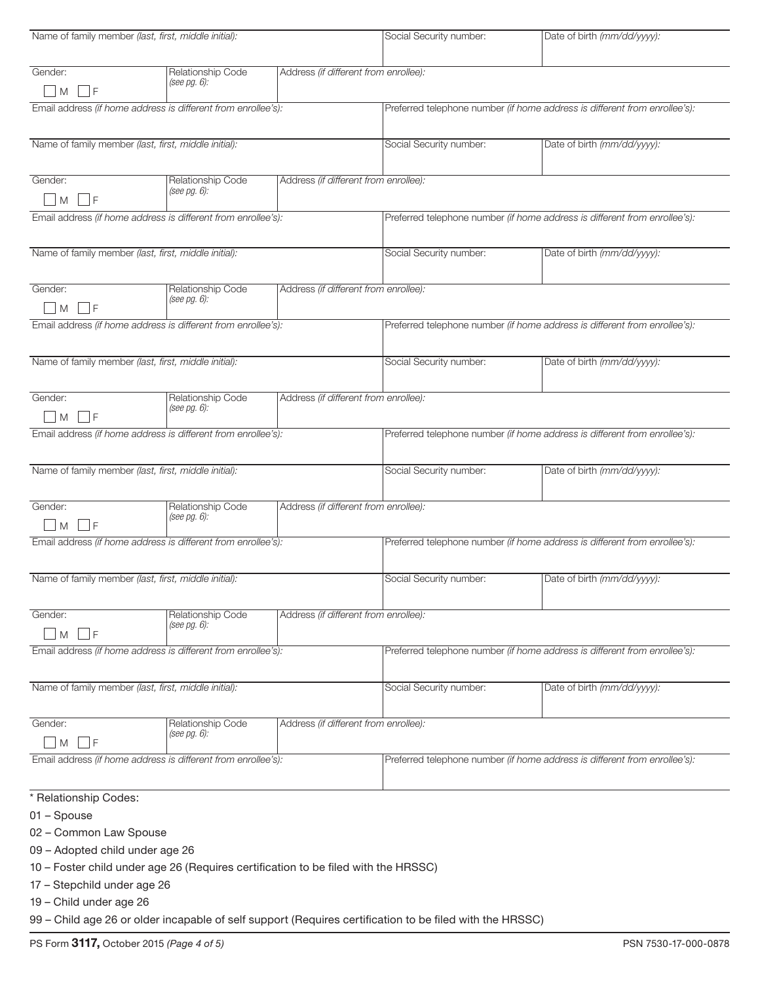| Name of family member (last, first, middle initial):          |                                      |                                       | Social Security number:                                                    | Date of birth (mm/dd/yyyy):                                                |  |  |
|---------------------------------------------------------------|--------------------------------------|---------------------------------------|----------------------------------------------------------------------------|----------------------------------------------------------------------------|--|--|
|                                                               |                                      |                                       |                                                                            |                                                                            |  |  |
| Gender:                                                       | Relationship Code                    | Address (if different from enrollee): |                                                                            |                                                                            |  |  |
| l IF<br>$\overline{M}$                                        | (see pg. 6):                         |                                       |                                                                            |                                                                            |  |  |
| Email address (if home address is different from enrollee's): |                                      |                                       | Preferred telephone number (if home address is different from enrollee's): |                                                                            |  |  |
|                                                               |                                      |                                       |                                                                            |                                                                            |  |  |
| Name of family member (last, first, middle initial):          |                                      |                                       | Social Security number:                                                    | Date of birth (mm/dd/yyyy):                                                |  |  |
|                                                               |                                      |                                       |                                                                            |                                                                            |  |  |
| Gender:                                                       | Relationship Code                    | Address (if different from enrollee): |                                                                            |                                                                            |  |  |
| - IF<br>M                                                     | (see pg. 6):                         |                                       |                                                                            |                                                                            |  |  |
|                                                               |                                      |                                       |                                                                            |                                                                            |  |  |
| Email address (if home address is different from enrollee's): |                                      |                                       |                                                                            | Preferred telephone number (if home address is different from enrollee's): |  |  |
|                                                               |                                      |                                       |                                                                            |                                                                            |  |  |
| Name of family member (last, first, middle initial):          |                                      |                                       | Social Security number:                                                    | Date of birth (mm/dd/yyyy):                                                |  |  |
| Gender:                                                       | Relationship Code                    | Address (if different from enrollee): |                                                                            |                                                                            |  |  |
|                                                               | (see pg. 6):                         |                                       |                                                                            |                                                                            |  |  |
| $M \mid F$                                                    |                                      |                                       |                                                                            |                                                                            |  |  |
| Email address (if home address is different from enrollee's): |                                      |                                       | Preferred telephone number (if home address is different from enrollee's): |                                                                            |  |  |
|                                                               |                                      |                                       |                                                                            |                                                                            |  |  |
| Name of family member (last, first, middle initial):          |                                      |                                       | Social Security number:                                                    | Date of birth (mm/dd/yyyy):                                                |  |  |
|                                                               |                                      |                                       |                                                                            |                                                                            |  |  |
| Gender:                                                       | Relationship Code                    | Address (if different from enrollee): |                                                                            |                                                                            |  |  |
| - F<br>M                                                      | (see pg. 6):                         |                                       |                                                                            |                                                                            |  |  |
| Email address (if home address is different from enrollee's): |                                      |                                       |                                                                            | Preferred telephone number (if home address is different from enrollee's): |  |  |
|                                                               |                                      |                                       |                                                                            |                                                                            |  |  |
| Name of family member (last, first, middle initial):          |                                      |                                       | Social Security number:                                                    | Date of birth (mm/dd/yyyy):                                                |  |  |
|                                                               |                                      |                                       |                                                                            |                                                                            |  |  |
| Gender:                                                       | Relationship Code                    | Address (if different from enrollee): |                                                                            |                                                                            |  |  |
| - IF<br>M                                                     | (see $pg. 6$ ):                      |                                       |                                                                            |                                                                            |  |  |
|                                                               |                                      |                                       |                                                                            | Preferred telephone number (if home address is different from enrollee's): |  |  |
| Email address (if home address is different from enrollee's): |                                      |                                       |                                                                            |                                                                            |  |  |
| Name of family member (last, first, middle initial):          |                                      |                                       | Social Security number:                                                    | Date of birth (mm/dd/yyyy):                                                |  |  |
|                                                               |                                      |                                       |                                                                            |                                                                            |  |  |
|                                                               |                                      |                                       |                                                                            |                                                                            |  |  |
| Gender:                                                       | Relationship Code<br>(see pg. $6$ ): | Address (if different from enrollee): |                                                                            |                                                                            |  |  |
| -l F<br>M                                                     |                                      |                                       |                                                                            |                                                                            |  |  |
| Email address (if home address is different from enrollee's): |                                      |                                       | Preferred telephone number (if home address is different from enrollee's): |                                                                            |  |  |
|                                                               |                                      |                                       |                                                                            |                                                                            |  |  |
| Name of family member (last, first, middle initial):          |                                      |                                       | Social Security number:                                                    | Date of birth (mm/dd/yyyy):                                                |  |  |
|                                                               |                                      |                                       |                                                                            |                                                                            |  |  |
| Gender:                                                       | Relationship Code                    | Address (if different from enrollee): |                                                                            |                                                                            |  |  |
| l IF<br>M                                                     | (see pg. 6):                         |                                       |                                                                            |                                                                            |  |  |
| Email address (if home address is different from enrollee's): |                                      |                                       | Preferred telephone number (if home address is different from enrollee's): |                                                                            |  |  |
|                                                               |                                      |                                       |                                                                            |                                                                            |  |  |
| * Relationship Codes:                                         |                                      |                                       |                                                                            |                                                                            |  |  |
| 01 - Spouse                                                   |                                      |                                       |                                                                            |                                                                            |  |  |
| 02 - Common Law Spouse                                        |                                      |                                       |                                                                            |                                                                            |  |  |
| 09 - Adopted child under age 26                               |                                      |                                       |                                                                            |                                                                            |  |  |
|                                                               |                                      |                                       |                                                                            |                                                                            |  |  |

10 – Foster child under age 26 (Requires certification to be filed with the HRSSC)

17 – Stepchild under age 26

19 – Child under age 26

99 – Child age 26 or older incapable of self support (Requires certification to be filed with the HRSSC)